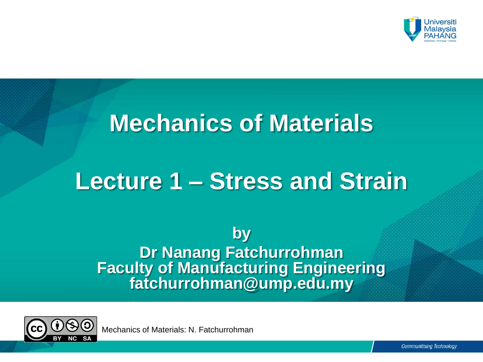

# **Mechanics of Materials**

# **Lecture 1 – Stress and Strain**

**by Dr Nanang Fatchurrohman Faculty of Manufacturing Engineering fatchurrohman@ump.edu.my**

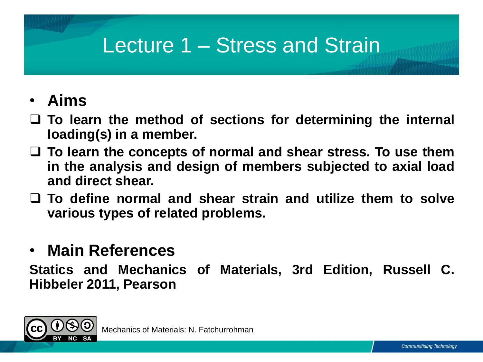## Lecture 1 – Stress and Strain

## • **Aims**

- **To learn the method of sections for determining the internal Ioading(s) in a member.**
- **To learn the concepts of normal and shear stress. To use them in the analysis and design of members subjected to axial load and direct shear.**
- **To define normal and shear strain and utilize them to solve various types of related problems.**

## • **Main References**

**Statics and Mechanics of Materials, 3rd Edition, Russell C. Hibbeler 2011, Pearson**

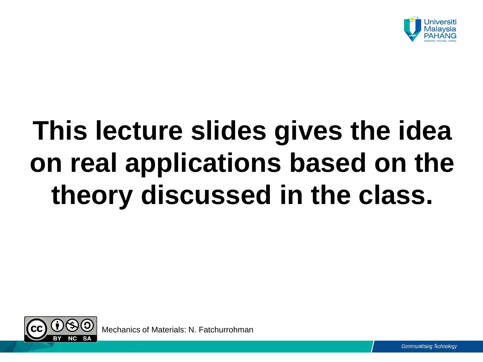

# **This lecture slides gives the idea on real applications based on the theory discussed in the class.**

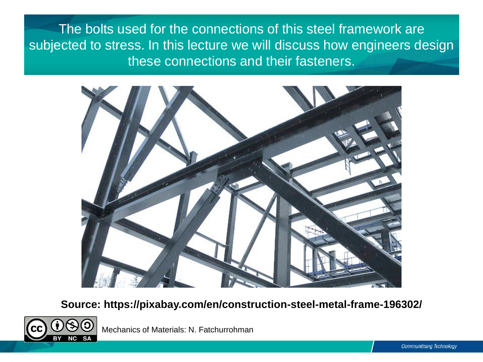The bolts used for the connections of this steel framework are subjected to stress. In this lecture we will discuss how engineers design these connections and their fasteners.



**Source: https://pixabay.com/en/construction-steel-metal-frame-196302/**

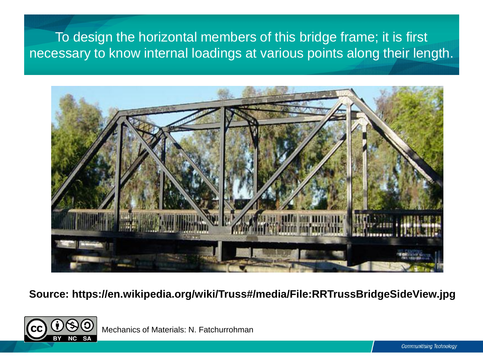### To design the horizontal members of this bridge frame; it is first necessary to know internal loadings at various points along their length.



**Source: https://en.wikipedia.org/wiki/Truss#/media/File:RRTrussBridgeSideView.jpg**

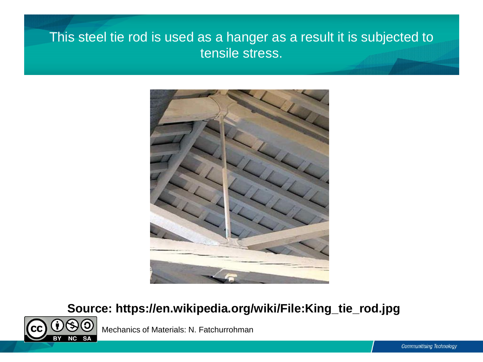### This steel tie rod is used as a hanger as a result it is subjected to tensile stress.



### **Source: https://en.wikipedia.org/wiki/File:King\_tie\_rod.jpg**

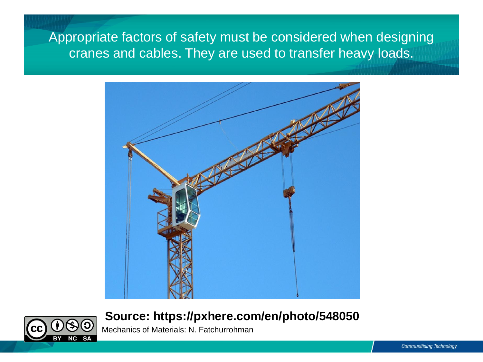Appropriate factors of safety must be considered when designing cranes and cables. They are used to transfer heavy loads.



#### **Source: https://pxhere.com/en/photo/548050**